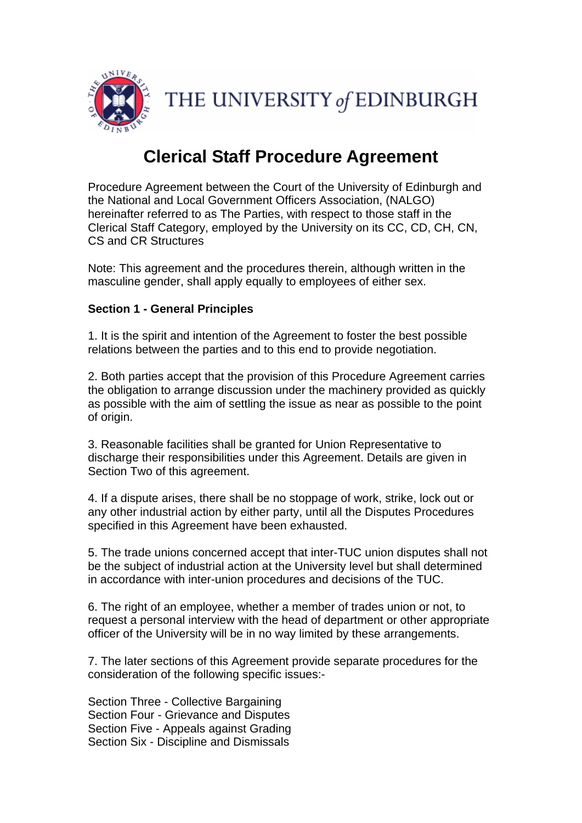

# **Clerical Staff Procedure Agreement**

Procedure Agreement between the Court of the University of Edinburgh and the National and Local Government Officers Association, (NALGO) hereinafter referred to as The Parties, with respect to those staff in the Clerical Staff Category, employed by the University on its CC, CD, CH, CN, CS and CR Structures

Note: This agreement and the procedures therein, although written in the masculine gender, shall apply equally to employees of either sex.

#### **Section 1 - General Principles**

1. It is the spirit and intention of the Agreement to foster the best possible relations between the parties and to this end to provide negotiation.

2. Both parties accept that the provision of this Procedure Agreement carries the obligation to arrange discussion under the machinery provided as quickly as possible with the aim of settling the issue as near as possible to the point of origin.

3. Reasonable facilities shall be granted for Union Representative to discharge their responsibilities under this Agreement. Details are given in Section Two of this agreement.

4. If a dispute arises, there shall be no stoppage of work, strike, lock out or any other industrial action by either party, until all the Disputes Procedures specified in this Agreement have been exhausted.

5. The trade unions concerned accept that inter-TUC union disputes shall not be the subject of industrial action at the University level but shall determined in accordance with inter-union procedures and decisions of the TUC.

6. The right of an employee, whether a member of trades union or not, to request a personal interview with the head of department or other appropriate officer of the University will be in no way limited by these arrangements.

7. The later sections of this Agreement provide separate procedures for the consideration of the following specific issues:-

Section Three - Collective Bargaining Section Four - Grievance and Disputes Section Five - Appeals against Grading Section Six - Discipline and Dismissals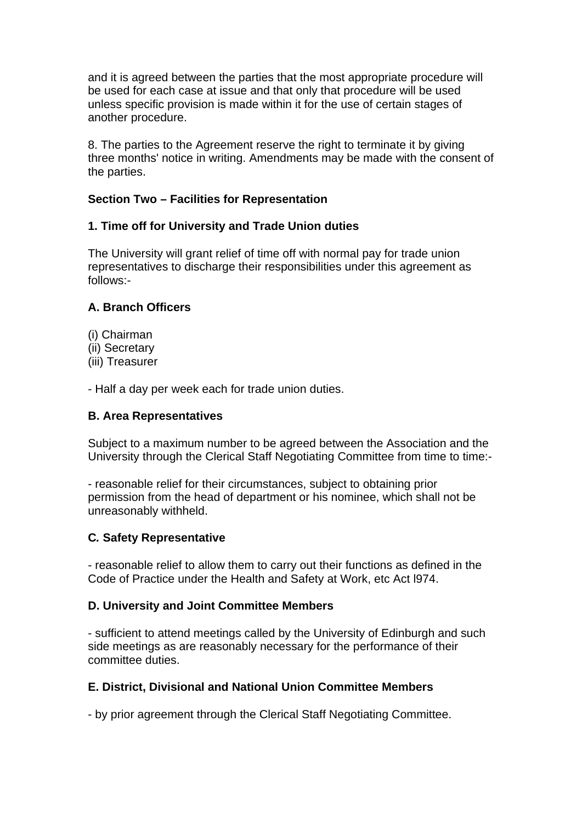and it is agreed between the parties that the most appropriate procedure will be used for each case at issue and that only that procedure will be used unless specific provision is made within it for the use of certain stages of another procedure.

8. The parties to the Agreement reserve the right to terminate it by giving three months' notice in writing. Amendments may be made with the consent of the parties.

## **Section Two – Facilities for Representation**

## **1. Time off for University and Trade Union duties**

The University will grant relief of time off with normal pay for trade union representatives to discharge their responsibilities under this agreement as follows:-

## **A. Branch Officers**

- (i) Chairman
- (ii) Secretary
- (iii) Treasurer

- Half a day per week each for trade union duties.

#### **B. Area Representatives**

Subject to a maximum number to be agreed between the Association and the University through the Clerical Staff Negotiating Committee from time to time:-

- reasonable relief for their circumstances, subject to obtaining prior permission from the head of department or his nominee, which shall not be unreasonably withheld.

#### **C***.* **Safety Representative**

- reasonable relief to allow them to carry out their functions as defined in the Code of Practice under the Health and Safety at Work, etc Act l974.

#### **D. University and Joint Committee Members**

- sufficient to attend meetings called by the University of Edinburgh and such side meetings as are reasonably necessary for the performance of their committee duties.

#### **E. District, Divisional and National Union Committee Members**

- by prior agreement through the Clerical Staff Negotiating Committee.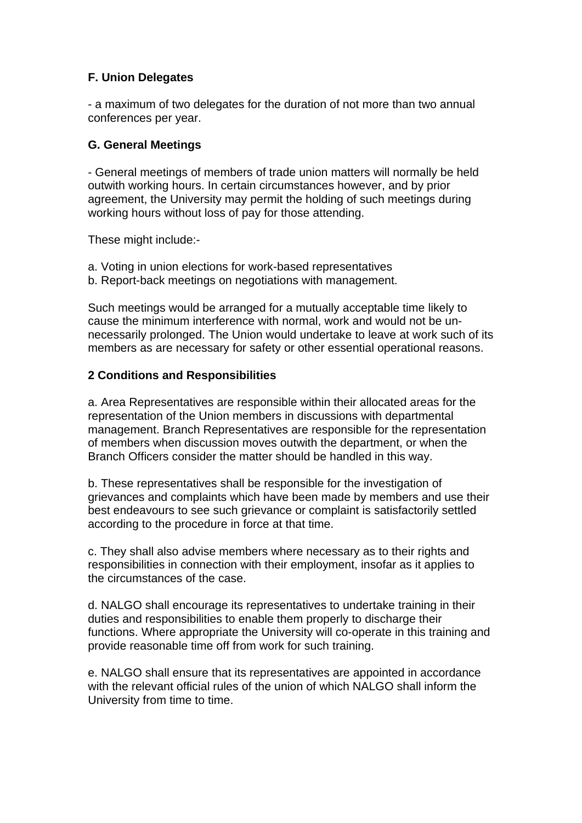# **F. Union Delegates**

- a maximum of two delegates for the duration of not more than two annual conferences per year.

## **G. General Meetings**

- General meetings of members of trade union matters will normally be held outwith working hours. In certain circumstances however, and by prior agreement, the University may permit the holding of such meetings during working hours without loss of pay for those attending.

These might include:-

- a. Voting in union elections for work-based representatives
- b. Report-back meetings on negotiations with management.

Such meetings would be arranged for a mutually acceptable time likely to cause the minimum interference with normal, work and would not be unnecessarily prolonged. The Union would undertake to leave at work such of its members as are necessary for safety or other essential operational reasons.

# **2 Conditions and Responsibilities**

a. Area Representatives are responsible within their allocated areas for the representation of the Union members in discussions with departmental management. Branch Representatives are responsible for the representation of members when discussion moves outwith the department, or when the Branch Officers consider the matter should be handled in this way.

b. These representatives shall be responsible for the investigation of grievances and complaints which have been made by members and use their best endeavours to see such grievance or complaint is satisfactorily settled according to the procedure in force at that time.

c. They shall also advise members where necessary as to their rights and responsibilities in connection with their employment, insofar as it applies to the circumstances of the case.

d. NALGO shall encourage its representatives to undertake training in their duties and responsibilities to enable them properly to discharge their functions. Where appropriate the University will co-operate in this training and provide reasonable time off from work for such training.

e. NALGO shall ensure that its representatives are appointed in accordance with the relevant official rules of the union of which NALGO shall inform the University from time to time.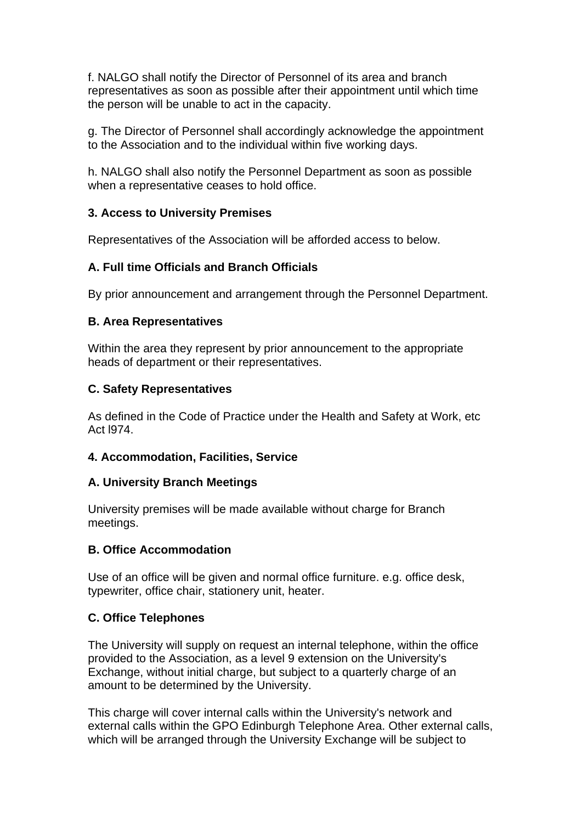f. NALGO shall notify the Director of Personnel of its area and branch representatives as soon as possible after their appointment until which time the person will be unable to act in the capacity.

g. The Director of Personnel shall accordingly acknowledge the appointment to the Association and to the individual within five working days.

h. NALGO shall also notify the Personnel Department as soon as possible when a representative ceases to hold office.

## **3. Access to University Premises**

Representatives of the Association will be afforded access to below.

## **A. Full time Officials and Branch Officials**

By prior announcement and arrangement through the Personnel Department.

#### **B. Area Representatives**

Within the area they represent by prior announcement to the appropriate heads of department or their representatives.

## **C. Safety Representatives**

As defined in the Code of Practice under the Health and Safety at Work, etc Act l974.

#### **4. Accommodation, Facilities, Service**

#### **A. University Branch Meetings**

University premises will be made available without charge for Branch meetings.

#### **B. Office Accommodation**

Use of an office will be given and normal office furniture. e.g. office desk, typewriter, office chair, stationery unit, heater.

#### **C. Office Telephones**

The University will supply on request an internal telephone, within the office provided to the Association, as a level 9 extension on the University's Exchange, without initial charge, but subject to a quarterly charge of an amount to be determined by the University.

This charge will cover internal calls within the University's network and external calls within the GPO Edinburgh Telephone Area. Other external calls, which will be arranged through the University Exchange will be subject to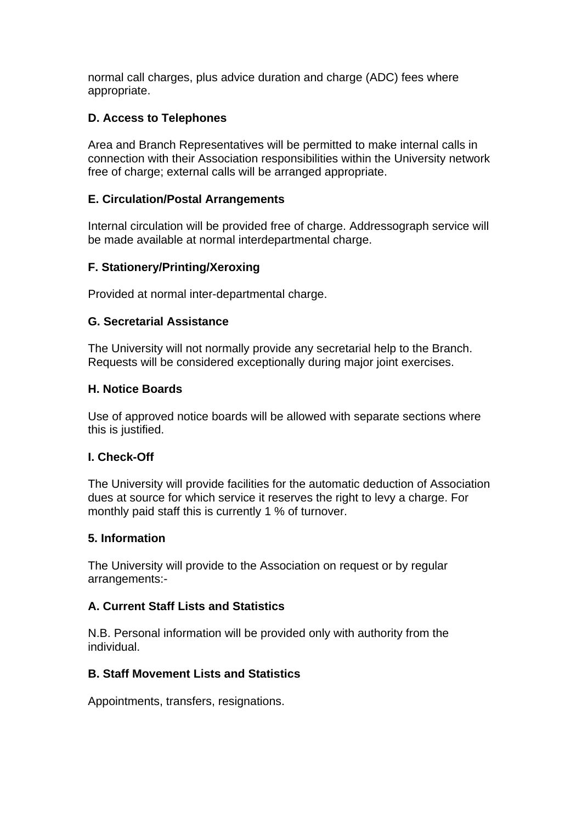normal call charges, plus advice duration and charge (ADC) fees where appropriate.

# **D. Access to Telephones**

Area and Branch Representatives will be permitted to make internal calls in connection with their Association responsibilities within the University network free of charge; external calls will be arranged appropriate.

# **E. Circulation/Postal Arrangements**

Internal circulation will be provided free of charge. Addressograph service will be made available at normal interdepartmental charge.

# **F. Stationery/Printing/Xeroxing**

Provided at normal inter-departmental charge.

## **G. Secretarial Assistance**

The University will not normally provide any secretarial help to the Branch. Requests will be considered exceptionally during major joint exercises.

## **H. Notice Boards**

Use of approved notice boards will be allowed with separate sections where this is justified.

# **I. Check-Off**

The University will provide facilities for the automatic deduction of Association dues at source for which service it reserves the right to levy a charge. For monthly paid staff this is currently 1 % of turnover.

#### **5. Information**

The University will provide to the Association on request or by regular arrangements:-

# **A. Current Staff Lists and Statistics**

N.B. Personal information will be provided only with authority from the individual.

# **B. Staff Movement Lists and Statistics**

Appointments, transfers, resignations.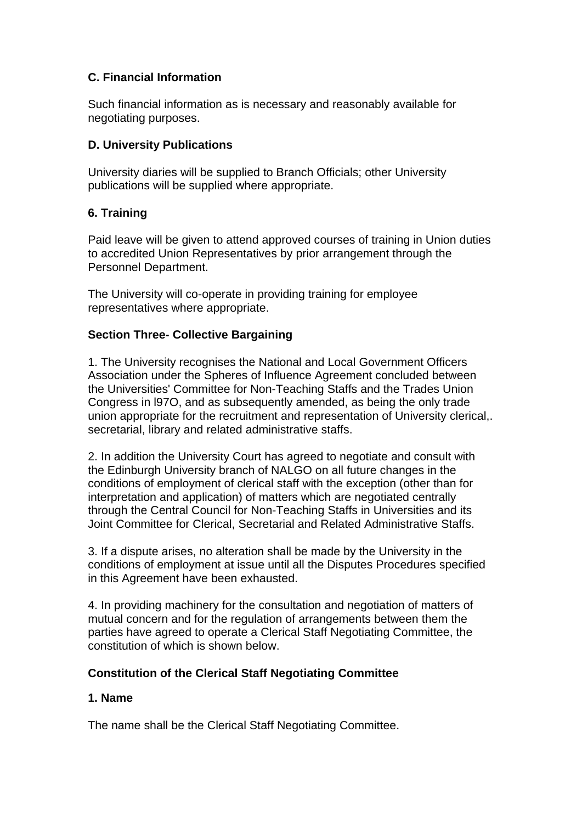# **C. Financial Information**

Such financial information as is necessary and reasonably available for negotiating purposes.

## **D. University Publications**

University diaries will be supplied to Branch Officials; other University publications will be supplied where appropriate.

# **6. Training**

Paid leave will be given to attend approved courses of training in Union duties to accredited Union Representatives by prior arrangement through the Personnel Department.

The University will co-operate in providing training for employee representatives where appropriate.

# **Section Three- Collective Bargaining**

1. The University recognises the National and Local Government Officers Association under the Spheres of Influence Agreement concluded between the Universities' Committee for Non-Teaching Staffs and the Trades Union Congress in l97O, and as subsequently amended, as being the only trade union appropriate for the recruitment and representation of University clerical,. secretarial, library and related administrative staffs.

2. In addition the University Court has agreed to negotiate and consult with the Edinburgh University branch of NALGO on all future changes in the conditions of employment of clerical staff with the exception (other than for interpretation and application) of matters which are negotiated centrally through the Central Council for Non-Teaching Staffs in Universities and its Joint Committee for Clerical, Secretarial and Related Administrative Staffs.

3. If a dispute arises, no alteration shall be made by the University in the conditions of employment at issue until all the Disputes Procedures specified in this Agreement have been exhausted.

4. In providing machinery for the consultation and negotiation of matters of mutual concern and for the regulation of arrangements between them the parties have agreed to operate a Clerical Staff Negotiating Committee, the constitution of which is shown below.

# **Constitution of the Clerical Staff Negotiating Committee**

# **1. Name**

The name shall be the Clerical Staff Negotiating Committee.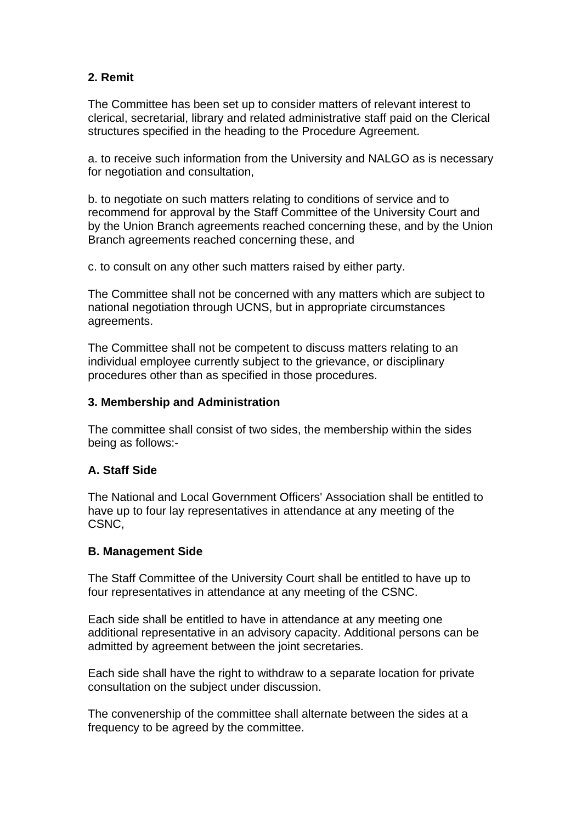# **2. Remit**

The Committee has been set up to consider matters of relevant interest to clerical, secretarial, library and related administrative staff paid on the Clerical structures specified in the heading to the Procedure Agreement.

a. to receive such information from the University and NALGO as is necessary for negotiation and consultation,

b. to negotiate on such matters relating to conditions of service and to recommend for approval by the Staff Committee of the University Court and by the Union Branch agreements reached concerning these, and by the Union Branch agreements reached concerning these, and

c. to consult on any other such matters raised by either party.

The Committee shall not be concerned with any matters which are subject to national negotiation through UCNS, but in appropriate circumstances agreements.

The Committee shall not be competent to discuss matters relating to an individual employee currently subject to the grievance, or disciplinary procedures other than as specified in those procedures.

#### **3. Membership and Administration**

The committee shall consist of two sides, the membership within the sides being as follows:-

# **A. Staff Side**

The National and Local Government Officers' Association shall be entitled to have up to four lay representatives in attendance at any meeting of the CSNC,

#### **B. Management Side**

The Staff Committee of the University Court shall be entitled to have up to four representatives in attendance at any meeting of the CSNC.

Each side shall be entitled to have in attendance at any meeting one additional representative in an advisory capacity. Additional persons can be admitted by agreement between the joint secretaries.

Each side shall have the right to withdraw to a separate location for private consultation on the subject under discussion.

The convenership of the committee shall alternate between the sides at a frequency to be agreed by the committee.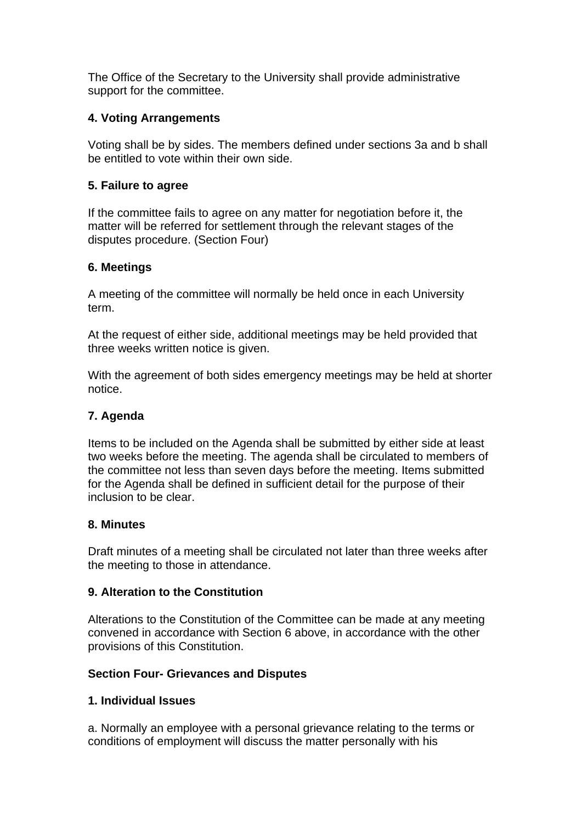The Office of the Secretary to the University shall provide administrative support for the committee.

# **4. Voting Arrangements**

Voting shall be by sides. The members defined under sections 3a and b shall be entitled to vote within their own side.

# **5. Failure to agree**

If the committee fails to agree on any matter for negotiation before it, the matter will be referred for settlement through the relevant stages of the disputes procedure. (Section Four)

# **6. Meetings**

A meeting of the committee will normally be held once in each University term.

At the request of either side, additional meetings may be held provided that three weeks written notice is given.

With the agreement of both sides emergency meetings may be held at shorter notice.

# **7. Agenda**

Items to be included on the Agenda shall be submitted by either side at least two weeks before the meeting. The agenda shall be circulated to members of the committee not less than seven days before the meeting. Items submitted for the Agenda shall be defined in sufficient detail for the purpose of their inclusion to be clear.

# **8. Minutes**

Draft minutes of a meeting shall be circulated not later than three weeks after the meeting to those in attendance.

# **9. Alteration to the Constitution**

Alterations to the Constitution of the Committee can be made at any meeting convened in accordance with Section 6 above, in accordance with the other provisions of this Constitution.

# **Section Four- Grievances and Disputes**

# **1. Individual Issues**

a. Normally an employee with a personal grievance relating to the terms or conditions of employment will discuss the matter personally with his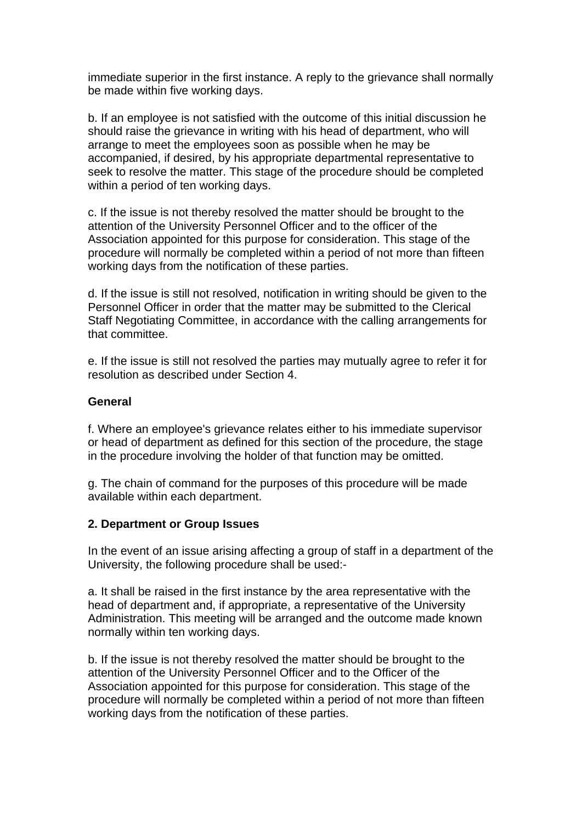immediate superior in the first instance. A reply to the grievance shall normally be made within five working days.

b. If an employee is not satisfied with the outcome of this initial discussion he should raise the grievance in writing with his head of department, who will arrange to meet the employees soon as possible when he may be accompanied, if desired, by his appropriate departmental representative to seek to resolve the matter. This stage of the procedure should be completed within a period of ten working days.

c. If the issue is not thereby resolved the matter should be brought to the attention of the University Personnel Officer and to the officer of the Association appointed for this purpose for consideration. This stage of the procedure will normally be completed within a period of not more than fifteen working days from the notification of these parties.

d. If the issue is still not resolved, notification in writing should be given to the Personnel Officer in order that the matter may be submitted to the Clerical Staff Negotiating Committee, in accordance with the calling arrangements for that committee.

e. If the issue is still not resolved the parties may mutually agree to refer it for resolution as described under Section 4.

#### **General**

f. Where an employee's grievance relates either to his immediate supervisor or head of department as defined for this section of the procedure, the stage in the procedure involving the holder of that function may be omitted.

g. The chain of command for the purposes of this procedure will be made available within each department.

#### **2. Department or Group Issues**

In the event of an issue arising affecting a group of staff in a department of the University, the following procedure shall be used:-

a. It shall be raised in the first instance by the area representative with the head of department and, if appropriate, a representative of the University Administration. This meeting will be arranged and the outcome made known normally within ten working days.

b. If the issue is not thereby resolved the matter should be brought to the attention of the University Personnel Officer and to the Officer of the Association appointed for this purpose for consideration. This stage of the procedure will normally be completed within a period of not more than fifteen working days from the notification of these parties.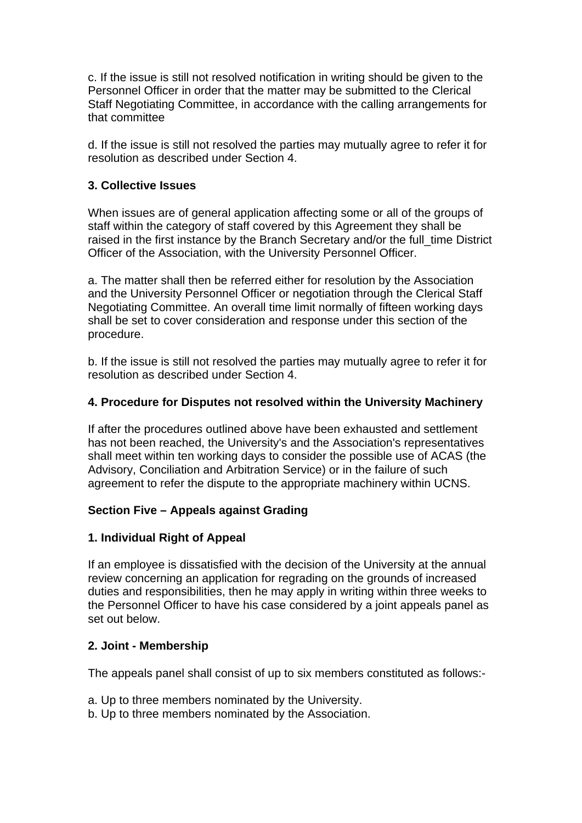c. If the issue is still not resolved notification in writing should be given to the Personnel Officer in order that the matter may be submitted to the Clerical Staff Negotiating Committee, in accordance with the calling arrangements for that committee

d. If the issue is still not resolved the parties may mutually agree to refer it for resolution as described under Section 4.

## **3. Collective Issues**

When issues are of general application affecting some or all of the groups of staff within the category of staff covered by this Agreement they shall be raised in the first instance by the Branch Secretary and/or the full\_time District Officer of the Association, with the University Personnel Officer.

a. The matter shall then be referred either for resolution by the Association and the University Personnel Officer or negotiation through the Clerical Staff Negotiating Committee. An overall time limit normally of fifteen working days shall be set to cover consideration and response under this section of the procedure.

b. If the issue is still not resolved the parties may mutually agree to refer it for resolution as described under Section 4.

## **4. Procedure for Disputes not resolved within the University Machinery**

If after the procedures outlined above have been exhausted and settlement has not been reached, the University's and the Association's representatives shall meet within ten working days to consider the possible use of ACAS (the Advisory, Conciliation and Arbitration Service) or in the failure of such agreement to refer the dispute to the appropriate machinery within UCNS.

# **Section Five – Appeals against Grading**

# **1. Individual Right of Appeal**

If an employee is dissatisfied with the decision of the University at the annual review concerning an application for regrading on the grounds of increased duties and responsibilities, then he may apply in writing within three weeks to the Personnel Officer to have his case considered by a joint appeals panel as set out below.

#### **2. Joint - Membership**

The appeals panel shall consist of up to six members constituted as follows:-

- a. Up to three members nominated by the University.
- b. Up to three members nominated by the Association.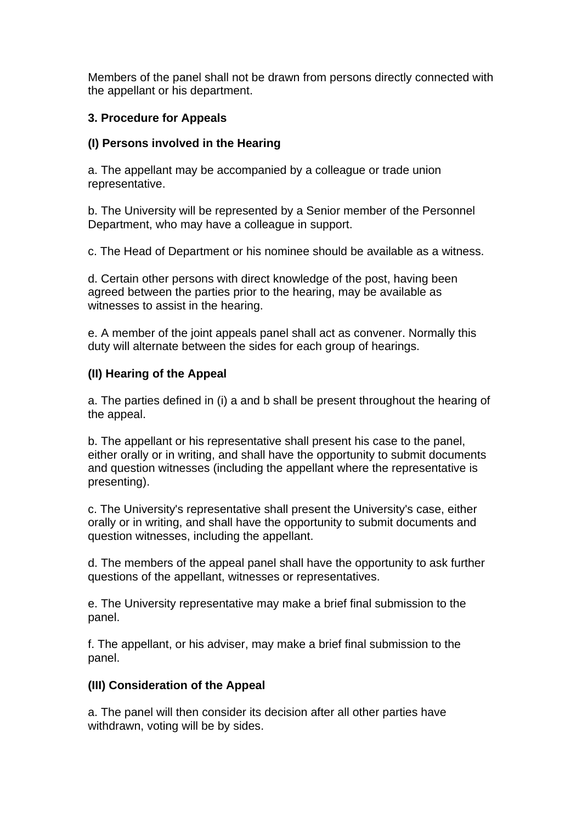Members of the panel shall not be drawn from persons directly connected with the appellant or his department.

## **3. Procedure for Appeals**

#### **(I) Persons involved in the Hearing**

a. The appellant may be accompanied by a colleague or trade union representative.

b. The University will be represented by a Senior member of the Personnel Department, who may have a colleague in support.

c. The Head of Department or his nominee should be available as a witness.

d. Certain other persons with direct knowledge of the post, having been agreed between the parties prior to the hearing, may be available as witnesses to assist in the hearing.

e. A member of the joint appeals panel shall act as convener. Normally this duty will alternate between the sides for each group of hearings.

#### **(II) Hearing of the Appeal**

a. The parties defined in (i) a and b shall be present throughout the hearing of the appeal.

b. The appellant or his representative shall present his case to the panel, either orally or in writing, and shall have the opportunity to submit documents and question witnesses (including the appellant where the representative is presenting).

c. The University's representative shall present the University's case, either orally or in writing, and shall have the opportunity to submit documents and question witnesses, including the appellant.

d. The members of the appeal panel shall have the opportunity to ask further questions of the appellant, witnesses or representatives.

e. The University representative may make a brief final submission to the panel.

f. The appellant, or his adviser, may make a brief final submission to the panel.

# **(III) Consideration of the Appeal**

a. The panel will then consider its decision after all other parties have withdrawn, voting will be by sides.